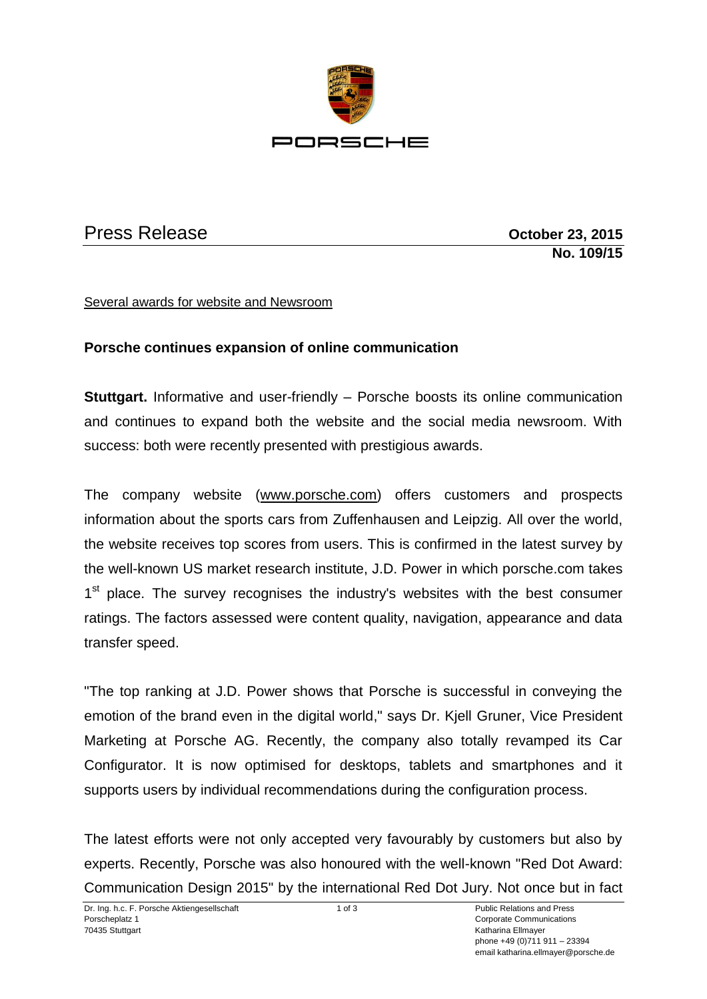

## Press Release **Contract Contract Press Release October 23, 2015**

**No. 109/15**

## Several awards for website and Newsroom

## **Porsche continues expansion of online communication**

**Stuttgart.** Informative and user-friendly – Porsche boosts its online communication and continues to expand both the website and the social media newsroom. With success: both were recently presented with prestigious awards.

The company website [\(www.porsche.com\)](http://www.porsche.com/) offers customers and prospects information about the sports cars from Zuffenhausen and Leipzig. All over the world, the website receives top scores from users. This is confirmed in the latest survey by the well-known US market research institute, J.D. Power in which porsche.com takes 1<sup>st</sup> place. The survey recognises the industry's websites with the best consumer ratings. The factors assessed were content quality, navigation, appearance and data transfer speed.

"The top ranking at J.D. Power shows that Porsche is successful in conveying the emotion of the brand even in the digital world," says Dr. Kjell Gruner, Vice President Marketing at Porsche AG. Recently, the company also totally revamped its Car Configurator. It is now optimised for desktops, tablets and smartphones and it supports users by individual recommendations during the configuration process.

The latest efforts were not only accepted very favourably by customers but also by experts. Recently, Porsche was also honoured with the well-known "Red Dot Award: Communication Design 2015" by the international Red Dot Jury. Not once but in fact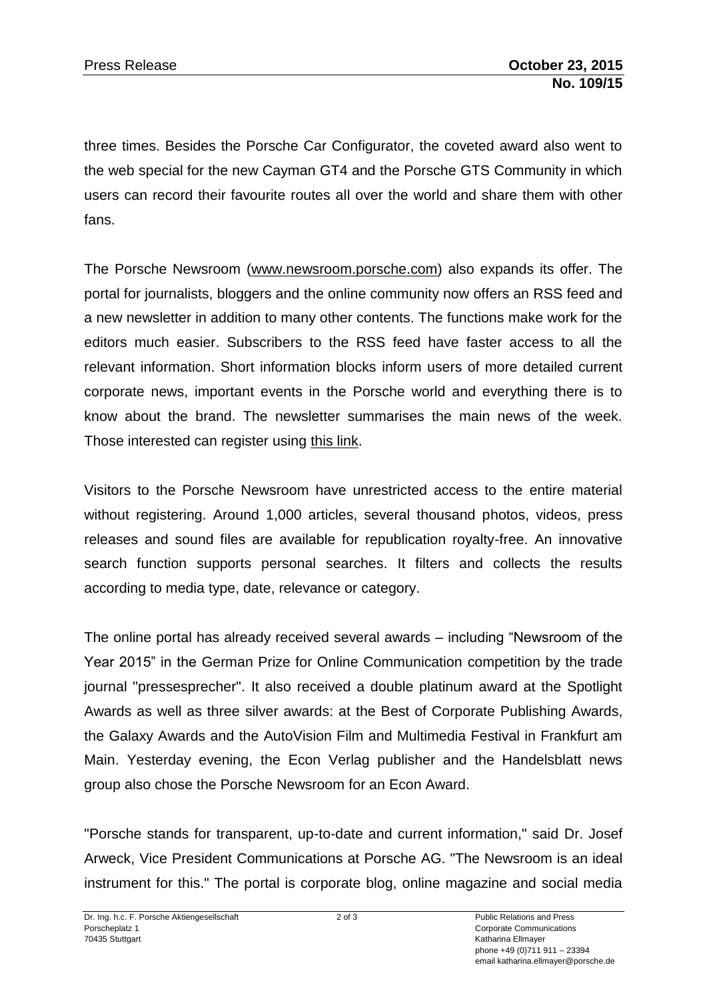three times. Besides the Porsche Car Configurator, the coveted award also went to the web special for the new Cayman GT4 and the Porsche GTS Community in which users can record their favourite routes all over the world and share them with other fans.

The Porsche Newsroom [\(www.newsroom.porsche.com\)](http://www.newsroom.porsche.com/) also expands its offer. The portal for journalists, bloggers and the online community now offers an RSS feed and a new newsletter in addition to many other contents. The functions make work for the editors much easier. Subscribers to the RSS feed have faster access to all the relevant information. Short information blocks inform users of more detailed current corporate news, important events in the Porsche world and everything there is to know about the brand. The newsletter summarises the main news of the week. Those interested can register using [this link.](https://newsletter.newsroom.porsche.com/prod/pag/NewsletterNewsroom.nsf/NewsletterActions?ReadForm&action=subscribe&language=en)

Visitors to the Porsche Newsroom have unrestricted access to the entire material without registering. Around 1,000 articles, several thousand photos, videos, press releases and sound files are available for republication royalty-free. An innovative search function supports personal searches. It filters and collects the results according to media type, date, relevance or category.

The online portal has already received several awards – including "Newsroom of the Year 2015" in the German Prize for Online Communication competition by the trade journal "pressesprecher". It also received a double platinum award at the Spotlight Awards as well as three silver awards: at the Best of Corporate Publishing Awards, the Galaxy Awards and the AutoVision Film and Multimedia Festival in Frankfurt am Main. Yesterday evening, the Econ Verlag publisher and the Handelsblatt news group also chose the Porsche Newsroom for an Econ Award.

"Porsche stands for transparent, up-to-date and current information," said Dr. Josef Arweck, Vice President Communications at Porsche AG. "The Newsroom is an ideal instrument for this." The portal is corporate blog, online magazine and social media